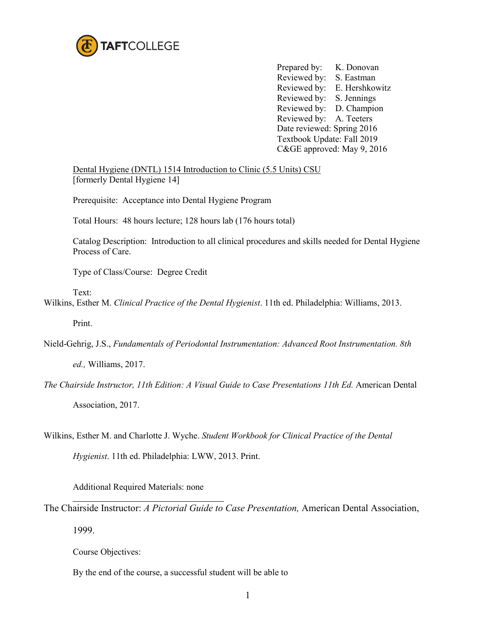

Prepared by: K. Donovan Reviewed by: S. Eastman Reviewed by: E. Hershkowitz Reviewed by: S. Jennings Reviewed by: D. Champion Reviewed by: A. Teeters Date reviewed: Spring 2016 Textbook Update: Fall 2019 C&GE approved: May 9, 2016

Dental Hygiene (DNTL) 1514 Introduction to Clinic (5.5 Units) CSU [formerly Dental Hygiene 14]

Prerequisite: Acceptance into Dental Hygiene Program

Total Hours: 48 hours lecture; 128 hours lab (176 hours total)

Catalog Description: Introduction to all clinical procedures and skills needed for Dental Hygiene Process of Care.

Type of Class/Course: Degree Credit

Text:

Wilkins, Esther M. *Clinical Practice of the Dental Hygienist*. 11th ed. Philadelphia: Williams, 2013.

Print.

Nield-Gehrig, J.S., *Fundamentals of Periodontal Instrumentation: Advanced Root Instrumentation. 8th* 

*ed.,* Williams, 2017.

- *The Chairside Instructor, 11th Edition: A Visual Guide to Case Presentations 11th Ed.* American Dental Association, 2017.
- Wilkins, Esther M. and Charlotte J. Wyche. *Student Workbook for Clinical Practice of the Dental*

*Hygienist*. 11th ed. Philadelphia: LWW, 2013. Print.

Additional Required Materials: none

The Chairside Instructor: *A Pictorial Guide to Case Presentation,* American Dental Association, 1999.

Course Objectives:

By the end of the course, a successful student will be able to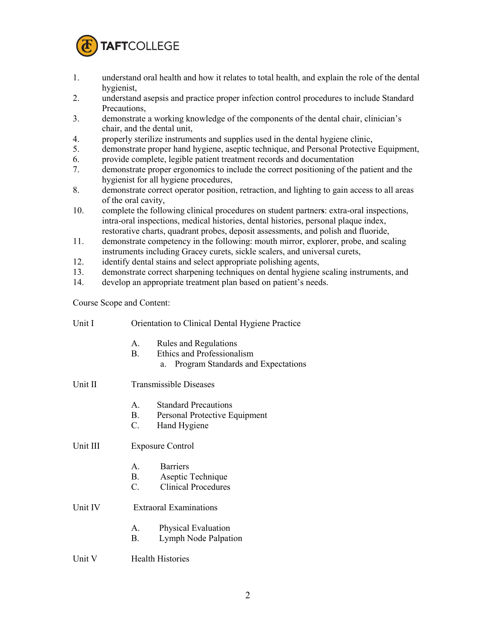

- 1. understand oral health and how it relates to total health, and explain the role of the dental hygienist,
- 2. understand asepsis and practice proper infection control procedures to include Standard Precautions,
- 3. demonstrate a working knowledge of the components of the dental chair, clinician's chair, and the dental unit,
- 4. properly sterilize instruments and supplies used in the dental hygiene clinic,
- 5. demonstrate proper hand hygiene, aseptic technique, and Personal Protective Equipment,
- 6. provide complete, legible patient treatment records and documentation
- 7. demonstrate proper ergonomics to include the correct positioning of the patient and the hygienist for all hygiene procedures,
- 8. demonstrate correct operator position, retraction, and lighting to gain access to all areas of the oral cavity,
- 10. complete the following clinical procedures on student partner**s**: extra-oral inspections, intra-oral inspections, medical histories, dental histories, personal plaque index, restorative charts, quadrant probes, deposit assessments, and polish and fluoride,
- 11. demonstrate competency in the following: mouth mirror, explorer, probe, and scaling instruments including Gracey curets, sickle scalers, and universal curets,
- 12. identify dental stains and select appropriate polishing agents,
- 13. demonstrate correct sharpening techniques on dental hygiene scaling instruments, and
- 14. develop an appropriate treatment plan based on patient's needs.

Course Scope and Content:

| Unit I   | Orientation to Clinical Dental Hygiene Practice |                                                                                                 |
|----------|-------------------------------------------------|-------------------------------------------------------------------------------------------------|
|          | $A_{1}$<br>$\mathbf{B}$                         | Rules and Regulations<br>Ethics and Professionalism<br>Program Standards and Expectations<br>a. |
| Unit II  | <b>Transmissible Diseases</b>                   |                                                                                                 |
|          | $\mathbf{A}$<br><b>B</b> .<br>C.                | <b>Standard Precautions</b><br>Personal Protective Equipment<br>Hand Hygiene                    |
| Unit III | <b>Exposure Control</b>                         |                                                                                                 |
|          | A.<br>B.<br>C.                                  | <b>Barriers</b><br>Aseptic Technique<br><b>Clinical Procedures</b>                              |
| Unit IV  | <b>Extraoral Examinations</b>                   |                                                                                                 |
|          | $A_{1}$<br>В.                                   | <b>Physical Evaluation</b><br>Lymph Node Palpation                                              |
| Unit V   | <b>Health Histories</b>                         |                                                                                                 |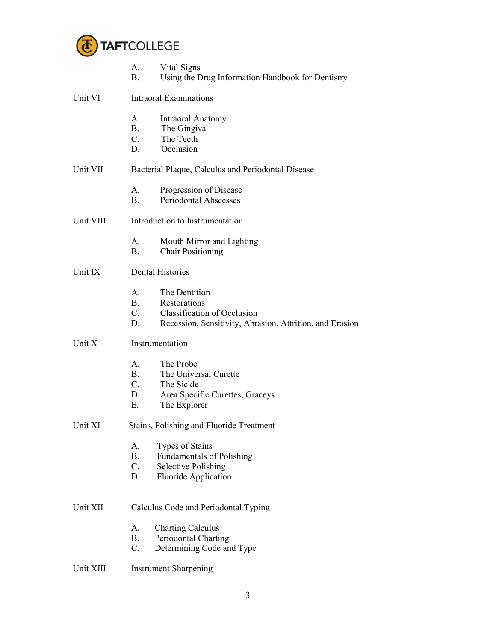

|           | Vital Signs<br>A.<br>Using the Drug Information Handbook for Dentistry<br>Β.                                                                                     |  |  |  |  |
|-----------|------------------------------------------------------------------------------------------------------------------------------------------------------------------|--|--|--|--|
| Unit VI   | <b>Intraoral Examinations</b>                                                                                                                                    |  |  |  |  |
|           | A.<br>Intraoral Anatomy<br>The Gingiva<br>$B_{-}$<br>$C_{\cdot}$<br>The Teeth<br>D.<br>Occlusion                                                                 |  |  |  |  |
| Unit VII  | Bacterial Plaque, Calculus and Periodontal Disease                                                                                                               |  |  |  |  |
|           | Progression of Disease<br>А.<br><b>Periodontal Abscesses</b><br>B.                                                                                               |  |  |  |  |
| Unit VIII | Introduction to Instrumentation                                                                                                                                  |  |  |  |  |
|           | Mouth Mirror and Lighting<br>А.<br><b>B.</b><br><b>Chair Positioning</b>                                                                                         |  |  |  |  |
| Unit IX   | <b>Dental Histories</b>                                                                                                                                          |  |  |  |  |
|           | The Dentition<br>A.<br>B.<br>Restorations<br>$C_{\cdot}$<br><b>Classification of Occlusion</b><br>D.<br>Recession, Sensitivity, Abrasion, Attrition, and Erosion |  |  |  |  |
| Unit X    | Instrumentation                                                                                                                                                  |  |  |  |  |
|           | A.<br>The Probe<br><b>B.</b><br>The Universal Curette<br>$C_{\cdot}$<br>The Sickle<br>D.<br>Area Specific Curettes, Graceys<br>Ε.<br>The Explorer                |  |  |  |  |
| Unit XI   | Stains, Polishing and Fluoride Treatment                                                                                                                         |  |  |  |  |
|           | Types of Stains<br>А.<br><b>B.</b><br><b>Fundamentals of Polishing</b><br><b>Selective Polishing</b><br>$C_{\cdot}$<br><b>Fluoride Application</b><br>D.         |  |  |  |  |
| Unit XII  | Calculus Code and Periodontal Typing                                                                                                                             |  |  |  |  |
|           | <b>Charting Calculus</b><br>А.<br>Periodontal Charting<br><b>B.</b><br>$C$ .<br>Determining Code and Type                                                        |  |  |  |  |
| Unit XIII | <b>Instrument Sharpening</b>                                                                                                                                     |  |  |  |  |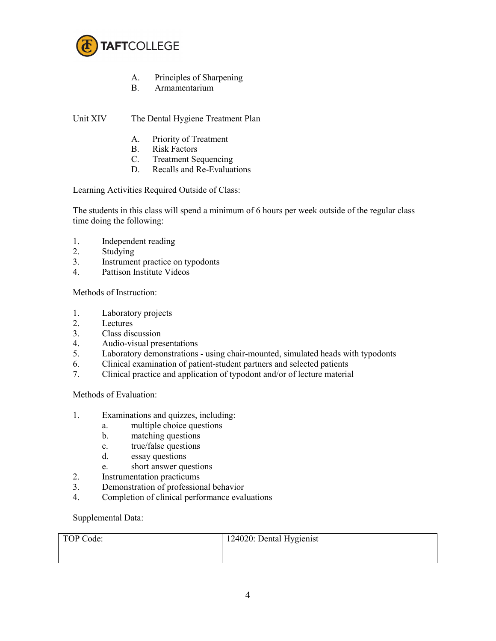

- A. Principles of Sharpening
- B. Armamentarium

## Unit XIV The Dental Hygiene Treatment Plan

- A. Priority of Treatment
- B. Risk Factors
- C. Treatment Sequencing
- D. Recalls and Re-Evaluations

Learning Activities Required Outside of Class:

The students in this class will spend a minimum of 6 hours per week outside of the regular class time doing the following:

- 1. Independent reading
- 2. Studying
- 3. Instrument practice on typodonts
- 4. Pattison Institute Videos

Methods of Instruction:

- 1. Laboratory projects
- 2. Lectures
- 3. Class discussion
- 4. Audio-visual presentations
- 5. Laboratory demonstrations using chair-mounted, simulated heads with typodonts
- 6. Clinical examination of patient-student partners and selected patients
- 7. Clinical practice and application of typodont and/or of lecture material

Methods of Evaluation:

- 1. Examinations and quizzes, including:
	- a. multiple choice questions
	- b. matching questions
	- c. true/false questions
	- d. essay questions
	- e. short answer questions
- 2. Instrumentation practicums
- 3. Demonstration of professional behavior
- 4. Completion of clinical performance evaluations

Supplemental Data:

| TOP Code: | 124020: Dental Hygienist |
|-----------|--------------------------|
|           |                          |